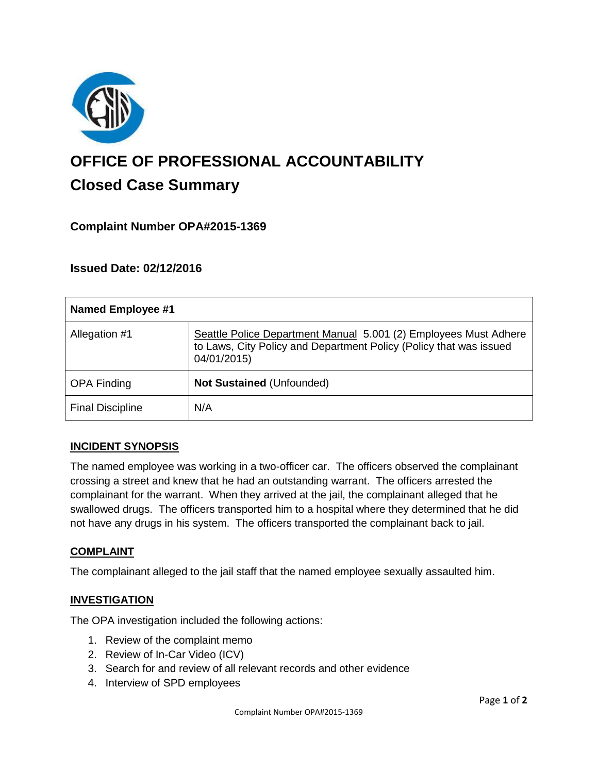

# **OFFICE OF PROFESSIONAL ACCOUNTABILITY Closed Case Summary**

## **Complaint Number OPA#2015-1369**

## **Issued Date: 02/12/2016**

| <b>Named Employee #1</b> |                                                                                                                                                       |
|--------------------------|-------------------------------------------------------------------------------------------------------------------------------------------------------|
| Allegation #1            | Seattle Police Department Manual 5.001 (2) Employees Must Adhere<br>to Laws, City Policy and Department Policy (Policy that was issued<br>04/01/2015) |
| <b>OPA Finding</b>       | <b>Not Sustained (Unfounded)</b>                                                                                                                      |
| <b>Final Discipline</b>  | N/A                                                                                                                                                   |

#### **INCIDENT SYNOPSIS**

The named employee was working in a two-officer car. The officers observed the complainant crossing a street and knew that he had an outstanding warrant. The officers arrested the complainant for the warrant. When they arrived at the jail, the complainant alleged that he swallowed drugs. The officers transported him to a hospital where they determined that he did not have any drugs in his system. The officers transported the complainant back to jail.

#### **COMPLAINT**

The complainant alleged to the jail staff that the named employee sexually assaulted him.

#### **INVESTIGATION**

The OPA investigation included the following actions:

- 1. Review of the complaint memo
- 2. Review of In-Car Video (ICV)
- 3. Search for and review of all relevant records and other evidence
- 4. Interview of SPD employees